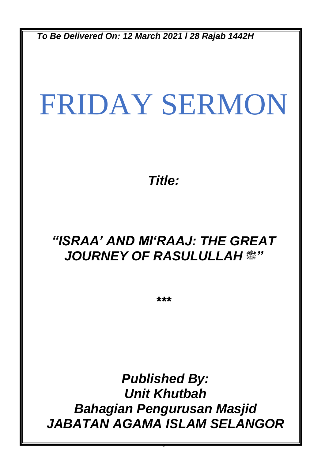*To Be Delivered On: 12 March 2021 l 28 Rajab 1442H*

# FRIDAY SERMON

*Title:*

## *"ISRAA' AND MI'RAAJ: THE GREAT JOURNEY OF RASULULLAH* **صلى الله عليه وسلم***"*

*\*\*\**

*Published By: Unit Khutbah Bahagian Pengurusan Masjid JABATAN AGAMA ISLAM SELANGOR*

0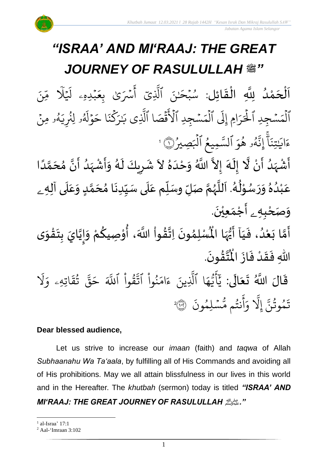

.<br>با ن<br>ا اَلْحَمْدُ لِلَّهِ الْقَائِل: سُبْحَـٰنَ ٱلَّذِىٓ أَسۡرَىٰ بِعَبۡدِهِۦ لَيۡلَا مِّنَ و<br>و ْ<br>م  $\overline{\phantom{a}}$ ֦֧֦֧֦֧֦֧֦֧֦֧֦֧֜֜֜֜֓֓<br>**֡**  $\overline{\phantom{a}}$  $\frac{1}{2}$ ֦֧֦֧֦֧֦֧֦֧֦֧֦֧֦֜֜֜֜֓֓֟֓֟֓֟֓֟֓֟֓֟֓֟֓֟֓֟֓֟֓֟֓֟֓<br>֧֛֜֜֜֜֜֜֜֜֜ ء<br>م ا<br>ا  $\lambda$  $\overline{\phantom{a}}$  $\tilde{\mathbf{t}}$ ب<sub>َ</sub>دِهِۦ لَيۡ  $\ddot{\phantom{0}}$  $\frac{1}{2}$ ِ<br>سُرَىٰ بِعَ ِ<br>ج أ ِي بة<br>1 سُبْحَـٰنَ ٱلَّذِ  $\ddot{\phantom{0}}$ و<br>م ?<br>? ۥ ِمن ه و<br>لم  $\tilde{\cdot}$ و لِنُرِيَ ُو و<br>لھ .<br>أ وْلُهُ  $\frac{1}{2}$  $\tilde{\phantom{a}}$ ا ح  $\ddot{\cdot}$ ن ك ر<br>م ِ<br>س ۔<br>ر َٰ ِ<br>پ ِي ب بة<br>1 ُقۡصَا ٱلَّذِ  $\frac{1}{2}$ -<br>د ځ سُجِدِ الاَ  $\ddot{\phantom{0}}$  $\frac{1}{2}$ م ٱل ہ<br>ا .<br>آ َِل اِم إ َ ر ِ<br>د ر<br>ا سُجِدِ الحَ  $\ddot{\phantom{0}}$  $\frac{1}{2}$ م ٱل ہ<br>ا و<br>ج و<br>لمو **ه** و<br>لھ بة<br>في ِن إ ج<br>آ ا  $\ddot{\cdot}$ تِن َٰ ِ<br>م اي  $\tilde{\cdot}$ ءَايَـٰتِنَا إِنَّهُو هُوَ السَّمِيعُ الْبَصِيرُ <u>و</u>  $\overline{\phantom{a}}$ ہ<br>1 وَ ٱلسَّمِيعُ ٱلۡبَصِيرُ(١١ و<br>و 1 ع<br>تم ِ<br>پنج  $\frac{1}{\epsilon}$  $\sum_{i=1}^{n}$  $\ddot{\mathbf{z}}$ 

الا<br>ا .<br>أَشْهَدُ أَنْ لَّا إِلَهَ إِلاَّ اللَّهُ وَحْدَهُ لاَ شَرِيكَ لَهُ وَأَشْهَدُ أَنَّ مُحَمَّدًا ំ<br>• و<br>ا ر<br>زار ْ ં<br>ત  $\frac{1}{2}$ ً<br>أ ت<br>م  $\frac{1}{2}$ انہ ،<br>ا ر<br>مړ ْ  $\tilde{\cdot}$ ر<br>ر ِ<br>پ  $\overline{\phantom{a}}$  $\ddot{\phantom{0}}$  $\sim$  $\frac{2}{\lambda}$ َ  $\frac{1}{2}$ المعالم عَبْدُهُ وَرَسُوْلُهُ. اَللَّهُمَّ صَلِّ وسَلِّم عَلَى سَيِّدِنَا مُحَمَّدٍ وَعَلَى آلِهِ ـ  $\overline{\mathbf{r}}$  $\frac{1}{2}$  $\tilde{\cdot}$ <u>لم</u> ن<br>م )<br>ጎ  $\ddot{\phantom{0}}$  $\frac{1}{1}$  $\overline{\mathbf{1}}$ ً<br>م  $\tilde{\mathbf{i}}$ لة<br>م ر<br>ر<br>ر ش<br>آ  $\mathbf{r}$ .<br>لم  $\frac{1}{\epsilon}$ ់<br>្ و<br>م  $\ddot{\phantom{0}}$  $\tilde{a}$  $\frac{9}{\lambda}$ و<br>ا ់<br>រ ً<br>م و*َص<sub>َ</sub>حْبِهِ <sub>ۦ</sub> أَجْمَعِيْنَ.* ْ  $\ddot{\phantom{0}}$ ់<br>(  $\tilde{a}$  $\tilde{\mathbf{r}}$ 

-<br>أَمَّا بَعْدُ، فَيَا أَيُّهَا الْمُسْلِمُونَ ُ<br>و ំ<br>រ  $\tilde{\cdot}$ لة<br>م ِ<br>پنج  $\frac{1}{1}$  $\frac{1}{2}$  $\ddot{\phantom{0}}$ }<br>ለ أَيُّهَا الْمُسْلِمُونَ اِتَّقُواْ اللَّهَ، أُوْصِيكُمْ وَإِيَّايَ بِتَقْوَى ِ<br>اس <sup>ہ</sup><br>• ें<br>ने  $\tilde{\cdot}$ ֦֧<u>֦</u>  $\ddot{\phantom{0}}$  $\frac{1}{2}$ ا<br>ا !<br>...  $\tilde{\cdot}$ ر<br>م ֦֧֦֧֦ ُ ؗ<br>ا **ہیں** الله .  $\ddot{\phantom{0}}$ ؾڤۏڹؘ  $\frac{9}{4}$ ا<br>ایر<br>جو ہ<br>ا اللّٰهِ فَقَدْ فَازَ الْمُ  $\ddot{\cdot}$  $\frac{1}{2}$ ْ  $\frac{1}{2}$  $\ddot{\cdot}$ 

قَالَ اللَّهُ تَعَالَى: ِ<br>ا َ  $\ddot{\phantom{0}}$  $\ddot{ }$ ر<br>1 َل ر<br>ہ اتِهِۦ و  $\ddot{\tilde{}}$ ق ت و<br>په ر<br>دو قی  $\tilde{\phantom{a}}$ ح ذَ قُوا اللَّهَ ْ بِ ور لتد<br>بد نُوا اڌّ <u>ہ</u><br>ا ُ  $\frac{1}{2}$ ام  $\tilde{\epsilon}$ ء ِينَ بة<br>1 ا الَّذِ ِ<br>م ه و<br>د سَ<br>ڊ ۔<br>ج  $\overline{\mathcal{L}}$ ِ<br>د ي  $\ddot{\cdot}$ سْلِمُونَ و  $\ddot{\phantom{0}}$ و<br>مم نتُم مَّ و<br>په ِ<br>ج أ  $\frac{1}{c}$ و بة<br>1 َِل إ ذ تَمُوثُنَّ إِلَّا وَأَنتُم مُّسۡلِمُونَ ۞ و<br>په و 2

#### **Dear blessed audience,**

Let us strive to increase our *imaan* (faith) and *taqwa* of Allah *Subhaanahu Wa Ta'aala*, by fulfilling all of His Commands and avoiding all of His prohibitions. May we all attain blissfulness in our lives in this world and in the Hereafter. The *khutbah* (sermon) today is titled *"ISRAA' AND* 

#### *MI'RAAJ: THE GREAT JOURNEY OF RASULULLAH*صلى الله عليه وسلم*."*

<sup>1</sup> al-Israa' 17:1

<sup>2</sup> Aal-'Imraan 3:102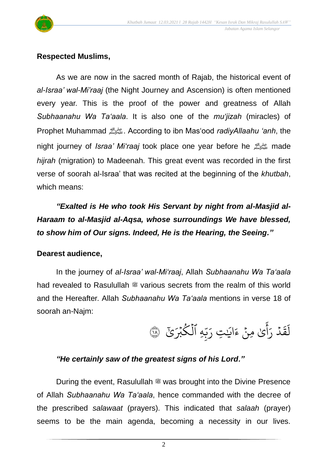

#### **Respected Muslims,**

As we are now in the sacred month of Rajab, the historical event of *al-Israa' wal-Mi'raaj* (the Night Journey and Ascension) is often mentioned every year. This is the proof of the power and greatness of Allah *Subhaanahu Wa Ta'aala*. It is also one of the *mu'jizah* (miracles) of Prophet Muhammad صلى الله عليه وسلم. According to ibn Mas'ood *radiyAllaahu 'anh*, the night journey of *Israa' Mi'raaj* took place one year before he صلى الله عليه وسلم made *hijrah* (migration) to Madeenah. This great event was recorded in the first verse of soorah al-Israa' that was recited at the beginning of the *khutbah*, which means:

*"Exalted is He who took His Servant by night from al-Masjid al-Haraam to al-Masjid al-Aqsa, whose surroundings We have blessed, to show him of Our signs. Indeed, He is the Hearing, the Seeing."*

#### **Dearest audience,**

In the journey of *al-Israa' wal-Mi'raaj*, Allah *Subhaanahu Wa Ta'aala* had revealed to Rasulullah  $*$  various secrets from the realm of this world and the Hereafter. Allah *Subhaanahu Wa Ta'aala* mentions in verse 18 of soorah an-Najm:

و<br>برک ۡب ك ِهِ ٱل و ہ<br>1 ں<br>د ب<br>ب ِ ِت ر َٰ ِ اي  $\tilde{\epsilon}$ ء َٰى ِمن <u>ہ</u> ِ<br>ج أ ِ<br>پ ر د ہ<br>ا  $\ddot{\phantom{0}}$ ق .<br>آ لَقَدْ رَآئِ مِنْ ءَايَتِ رَبّهِ الْكَبْرَئِ ۞

#### *"He certainly saw of the greatest signs of his Lord."*

During the event, Rasulullah  $\ddot{\mathcal{L}}$  was brought into the Divine Presence of Allah *Subhaanahu Wa Ta'aala*, hence commanded with the decree of the prescribed *salawaat* (prayers). This indicated that *salaah* (prayer) seems to be the main agenda, becoming a necessity in our lives.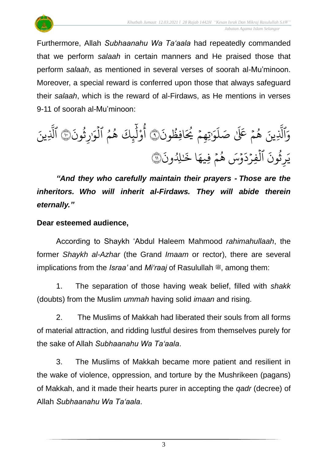

Furthermore, Allah *Subhaanahu Wa Ta'aala* had repeatedly commanded that we perform *salaah* in certain manners and He praised those that perform *salaah*, as mentioned in several verses of soorah al-Mu'minoon. Moreover, a special reward is conferred upon those that always safeguard their *salaah*, which is the reward of al-Firdaws, as He mentions in verses 9-11 of soorah al-Mu'minoon:

َ ون ُ افِظ َ ُ ُي ۡ ِهم تِ َٰ َ و َ ل َٰ صَ ۡ لَع ََ م ُ ه ِينَ ذ ٱَّل َ و ٩ َ ون ُ ث ِ َٰر َ و ۡ ٱل ُ م ُ ه ِكَ ئ ََٰٓ ل ْ و ُ أ ١٠ ِينَ ذ ٱَّل َ ون ِِلُ َٰ ا خَ َ فِيه ۡ م ُ ه ۡس َ و َ د ۡ فِر ۡ ٱل َ ون ُ ث ِ ر <sup>ي</sup> <sup>١١</sup> َ

*"And they who carefully maintain their prayers - Those are the inheritors. Who will inherit al-Firdaws. They will abide therein eternally."*

#### **Dear esteemed audience,**

According to Shaykh 'Abdul Haleem Mahmood *rahimahullaah*, the former *Shaykh al-Azhar* (the Grand *Imaam* or rector), there are several implications from the *Israa'* and *Mi'raaj* of Rasulullah  $\ddot{\mathcal{Z}}$ , among them:

1. The separation of those having weak belief, filled with *shakk* (doubts) from the Muslim *ummah* having solid *imaan* and rising.

2. The Muslims of Makkah had liberated their souls from all forms of material attraction, and ridding lustful desires from themselves purely for the sake of Allah *Subhaanahu Wa Ta'aala*.

3. The Muslims of Makkah became more patient and resilient in the wake of violence, oppression, and torture by the Mushrikeen (pagans) of Makkah, and it made their hearts purer in accepting the *qadr* (decree) of Allah *Subhaanahu Wa Ta'aala*.

3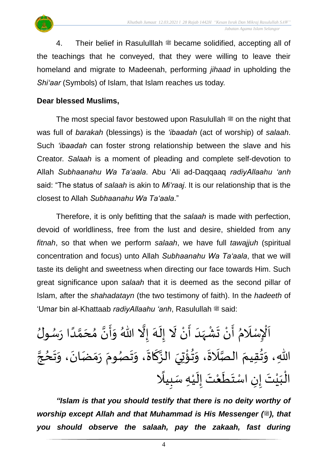

4. Their belief in Rasululllah <sup>22</sup> became solidified, accepting all of the teachings that he conveyed, that they were willing to leave their homeland and migrate to Madeenah, performing *jihaad* in upholding the *Shi'aar* (Symbols) of Islam, that Islam reaches us today.

#### **Dear blessed Muslims,**

The most special favor bestowed upon Rasulullah  $\ddot{\mathcal{F}}$  on the night that was full of *barakah* (blessings) is the *'ibaadah* (act of worship) of *salaah*. Such *'ibaadah* can foster strong relationship between the slave and his Creator. *Salaah* is a moment of pleading and complete self-devotion to Allah *Subhaanahu Wa Ta'aala*. Abu 'Ali ad-Daqqaaq *radiyAllaahu 'anh* said: "The status of *salaah* is akin to *Mi'raaj*. It is our relationship that is the closest to Allah *Subhaanahu Wa Ta'aala*."

Therefore, it is only befitting that the *salaah* is made with perfection, devoid of worldliness, free from the lust and desire, shielded from any *fitnah*, so that when we perform *salaah*, we have full *tawajjuh* (spiritual concentration and focus) unto Allah *Subhaanahu Wa Ta'aala*, that we will taste its delight and sweetness when directing our face towards Him. Such great significance upon *salaah* that it is deemed as the second pillar of Islam, after the *shahadatayn* (the two testimony of faith). In the *hadeeth* of 'Umar bin al-Khattaab *radiyAllaahu 'anh*, Rasulullah  $\stackrel{\text{{\tiny def}}}{=}$  said:

 $\overline{\phantom{a}}$ اَلْإِسْلَامُ أَنْ تَشْهَدَ أَنْ لَا إِلَهَ إِلَّا اللّهُ وَأَنَّ مُحَمَّدًا رَسُولُ ر<br>م  $\ddot{\phantom{0}}$ ً<br>أ ل<br>م  $\overline{\phantom{a}}$ ๋<br>ጎ ن<br>•  $\frac{1}{2}$  $\frac{1}{2}$ و<br>م تا<br>ا َ<br>ِم  $\tilde{\mathbf{r}}$  $\frac{1}{2}$  $\tilde{\mathbf{r}}$ ំ<br>•  $\frac{1}{2}$  $\frac{1}{1}$  $\frac{1}{2}$ ْ<br>;  $\frac{1}{2}$ ْ  $\frac{1}{2}$  $\frac{1}{2}$  $\frac{1}{1}$ ֦֧֦֧֦֧֦֧֦֧֦֧֦֧֜֜֜֓֓<br>֩֕֜֜֜֜֜֜֜֜֜֜֟֓֟ ن<br>پ اللّهِ، وَتُقِيمَ الصَّلَاةَ، وَتُؤْتِيَ الزَّكَاةَ، وَتَصُومَ رَمَضَانَ، وَتَحُجَّ ٍ<br>ٌ  $\frac{1}{2}$  $\tilde{\cdot}$  $\ddot{\phantom{0}}$  $\frac{1}{2}$  $\frac{1}{2}$  $\frac{1}{2}$ ر<br>در  $\frac{1}{2}$  $\frac{1}{2}$  $\frac{1}{2}$ ์<br>-<br>-ا<br>به<br>ب ់<br>៖ <sup>9</sup>  $\frac{1}{2}$  $\ddot{\phantom{0}}$  $\tilde{a}$ ا<br>ما ्<br>-<br>र ئہ<br>\*  $\frac{1}{2}$ ا<br>آ الْبَيْتَ إِنِ اسْتَطَعْتَ إِلَيْهِ سَبِيلًا <u>)</u> ْ  $\tilde{\mathbf{r}}$  $\frac{1}{2}$ َ ំ<br>រ  $\tilde{\mathbf{r}}$  $\ddot{\ }$ َ ំ<br>រ َ ֦֧֦֧֦֧֦֧֦֧֦֧֦֧֦֧֜֜֜֓֓<br>**֡** 

*"Islam is that you should testify that there is no deity worthy of worship except Allah and that Muhammad is His Messenger (* $\ddot{\text{m}}$ *), that you should observe the salaah, pay the zakaah, fast during*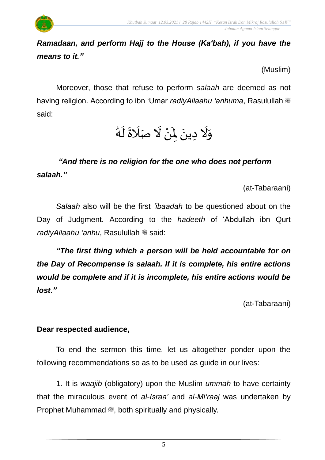

(Muslim)

Moreover, those that refuse to perform *salaah* are deemed as not having religion. According to ibn 'Umar *radiyAllaahu 'anhuma*, Rasulullah <sup>26</sup> said:

,<br>}<br>} وَلَا دِينَ لِمَنْ لَا صَلَاةَ لَهُ  $\tilde{\mathbf{r}}$  $\ddot{\phantom{0}}$  $\overline{a}$  $\tilde{a}$ ْ  $\mathbf{r}$  $\ddot{\phantom{0}}$  $\ddot{\phantom{0}}$ ِ<br>پنج  $\frac{1}{2}$ 

### *"And there is no religion for the one who does not perform salaah."*

(at-Tabaraani)

*Salaah* also will be the first *'ibaadah* to be questioned about on the Day of Judgment. According to the *hadeeth* of 'Abdullah ibn Qurt *radiyAllaahu 'anhu*, Rasulullah <sup>28</sup> said:

*"The first thing which a person will be held accountable for on the Day of Recompense is salaah. If it is complete, his entire actions would be complete and if it is incomplete, his entire actions would be lost."*

(at-Tabaraani)

#### **Dear respected audience,**

To end the sermon this time, let us altogether ponder upon the following recommendations so as to be used as guide in our lives:

1. It is *waajib* (obligatory) upon the Muslim *ummah* to have certainty that the miraculous event of *al-Israa'* and *al-Mi'raaj* was undertaken by Prophet Muhammad . both spiritually and physically.

5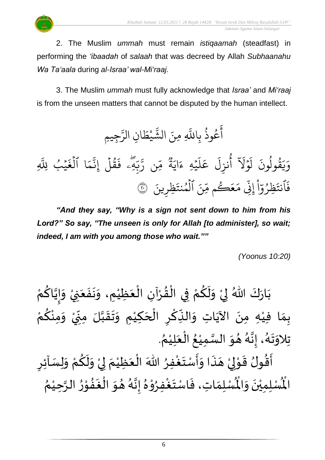2. The Muslim *ummah* must remain *istiqaamah* (steadfast) in performing the *'ibaadah* of *salaah* that was decreed by Allah *Subhaanahu Wa Ta'aala* during *al-Israa' wal-Mi'raaj*.

3. The Muslim *ummah* must fully acknowledge that *Israa'* and *Mi'raaj* is from the unseen matters that cannot be disputed by the human intellect.

و<br>په وذ ع و<br>م ِ<br>ج أ بِاللَّهِ بة<br>أ نَ الشَّيْطَانِ  $\ddot{\cdot}$ َللَّٰہِ مِ  $\frac{1}{2}$ يْط ْ رج<br>ش الشَّيْطَانِ الرَّجِيمِ ن<br>مت الر **€** بة<br>أ يَْبُ لِلَّهِ <u>و</u> ؚ<br>ٛ  $\ddot{\cdot}$ ا الغَ ہ<br>1  $\frac{1}{2}$ م بة<br>ج قَلَ إِذْ ہ<br>آ ور  $\ddot{\cdot}$ لِي فَ<br>-ۖ ں<br>ا ب<br>ب ن<br>د ِن ر ں<br>م ∝<br>مر وو<br>په ة  $\tilde{\cdot}$ اي  $\tilde{\zeta}$ ي<sup>ة</sup> عَ ہ<br>، ر<br>آ  $\mathcal{L}$ ِ<br>م ع .<br>آ نزِل و<br>م أ  $\tilde{\mathbf{v}}$ َل و  $\ddot{\phantom{0}}$ .<br>أ : ل قولون  $\frac{1}{\sqrt{2}}$ ر<br>په ِ<br>ا ر<br>به  $\frac{1}{c}$ و ْ ا  $\frac{1}{\alpha}$ ظرُو ُو  $\ddot{\phantom{0}}$ ٱنت  $\ddot{\cdot}$ فَٱنتَظِرُوٓاْ إِنِّي مَعَكُم مِّنَ ٱلۡمُنتَظِرِينَ  $\ddot{\phantom{0}}$ يِّنَ ٱلْمُنتَ و ہ<br>ا م م َك ع ر  $\frac{1}{2}$ ِ م  $\ddot{\cdot}$ نِي مَعَڪُم مِّنَ المُنتَظِرِينَ ۞ إ

*"And they say, "Why is a sign not sent down to him from his Lord?" So say, "The unseen is only for Allah [to administer], so wait; indeed, I am with you among those who wait.""*

 *(Yoonus 10:20)*

بَارَكَ اللّهُ لِيْ وَلَكُمْ فِي الْقُرْآنِ الْعَظِيْمِ، وَنَفَعَنِيْ وَإِيَّاكُمْ  $\frac{1}{2}$  $\ddot{\phantom{0}}$ ْ َ  $\ddot{\cdot}$  $\ddot{\phantom{0}}$  $\tilde{\cdot}$ ْ َ ْ ْ  $\frac{9}{4}$ ֦֧֦֧֦֧֦֧֦֧֦֧֦֧֜֜֜֜֓֓<br>**֡** ْ <u>ہ</u>  $\tilde{\mathbf{r}}$  $\frac{1}{2}$ ۠<br>ໍ لمحلح ْ ِ<br>م ن<br>• !<br>-<br>- $\tilde{\cdot}$ ْ بِمَا فِيْهِ مِنَ الآيَاتِ وَالنِّكْرِ الْحَكِيْمِ وَتَقَبَّلَ مِنِّيْ وَمِنْكُمْ ِ<br>م ْ  $\tilde{\cdot}$ ْ -<br>-<br>- $\sum$ ن<br>ا  $\frac{1}{2}$  $\frac{1}{2}$  $\tilde{\cdot}$ ٝ<br>ْ  $\overline{\phantom{a}}$ ֝֟֝֟֟֟֟֟֟֜֜֜֜<mark>֓</mark>  $\sum$ ؚ<br>م  $\frac{1}{2}$  $\frac{1}{2}$ ِ<br>پُ  $\ddot{\phantom{0}}$ ْ  $\frac{1}{2}$ . ़<br>१ تِلاوَتَهُ، إِنَّهُ هُوَ السَّمِيْعُ الْعَلِيْمُ ْ  $\frac{1}{2}$ ֦֧֦֧֦֧֦֧֦֟֜֜֜֜֜֜֜֜<br>֧ׅׅ֝֜֜֜֜֜֜֜֜֜֜֝֜֜֝֜<del>֛</del> ُ ំ<br>រ ا<br>ما  $\frac{1}{2}$  $\frac{1}{2}$ و<br>گ ن<br>•<br>•  $\frac{1}{2}$ .<br>१<br>1  $\ddot{\phantom{0}}$  $\frac{1}{2}$ ارا<br>ج ्<br>इ

۠<br>ؙ أَقُولُ قَوْلِيْ هَذَا وَأَسْتَغْفِرُ اللّٰهَ الْعَظِيْمَ لِيْ وَلَكُمْ وَلِسَاْئِرِ  $\frac{1}{2}$ ֦֧֦֧֦֦֧֝<u>֦</u> ُِ<br>و  $\ddot{\ }$  $\frac{1}{2}$  $\ddot{\cdot}$  $\overline{a}$ ំ<br>, لمح י<br>י  $\frac{1}{2}$ ر<br>ژ  $\sum$  $\tilde{\cdot}$ ْ <u>ہ</u>  $\tilde{\mathbf{r}}$  $\tilde{\cdot}$ ْ إ  $\ddot{\phantom{0}}$ ፟<br>፞ ري<br>لْمُسْلِمَاتِ، فَاسْتَغْفِرُوْهُ إِنَّهُ هُوَ الْغَفُوْرُ الرَّحِيْمُ ْ ان<br>م  $\frac{1}{2}$ י<br>י  $\frac{1}{2}$  $\ddot{\cdot}$ ر<br>ف  $\frac{1}{2}$  $\frac{1}{2}$ و<br>گ ن<br>•<br>•  $\frac{1}{2}$  $\frac{1}{2}$ ֦֧֦ **ہ**<br>د ِ<br>وف  $\ddot{\phantom{0}}$  $\frac{1}{2}$  $\frac{1}{2}$ ر۔<br>لْمُسْلِمِيْنَ وَالْمُ  $\frac{1}{2}$  $\ddot{\phantom{0}}$ ់<br>រ الْم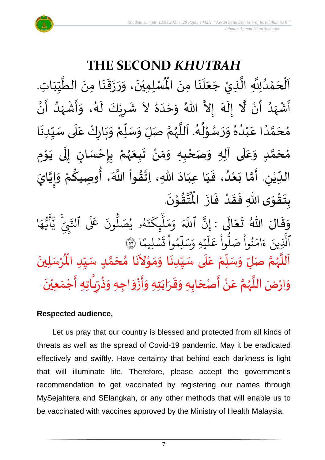

## **THE SECOND** *KHUTBAH*

للسلمِيْنَ، وَرَزَقَنَا مِنَ الطَّيِّبَاتِ  $\frac{1}{1}$  $\frac{1}{2}$  $\frac{1}{2}$ ان<br>ا  $\ddot{\phantom{0}}$ ्<br>;  $\frac{1}{2}$  $\ddot{\cdot}$  $\frac{1}{2}$  $\tilde{\cdot}$  $\ddot{\phantom{0}}$ ٝ<br>ا اَلْحَمْدُلِلَّهِ الَّذِيْ جَعَلَنَا مِنَ الْمُسْلِمِيْنَ، وَرَزَقَنَا مِنَ الطَّيِّبَاتِ.  $\ddot{\phantom{0}}$  $\ddot{\phantom{0}}$ َ<br>الم َ  $\ddot{\phantom{0}}$ ا<br>ا اتا<br>ا و<br>ا ំ<br>ត  $\overline{\phantom{a}}$ ْ  $\overline{\phantom{a}}$ ا<br>ا أَشْهَدُ أَنْ لَّا إِلَهَ إِلاَّ اللّهُ وَحْدَهُ لاَ شَرِيْكَ لَهُ، وَأَشْهَدُ أَنَّ ْ ر<br>پنج و<br>ا ر<br>زن ْ ِ<br>پ  $\tilde{\cdot}$  $\frac{1}{2}$ ै<br>जन्म تا<br>ج ر<br>آم  $\tilde{\phantom{0}}$  $\frac{1}{2}$ ِ<br>ا  $\tilde{\cdot}$ ا<br>به<br>• -<br>:<br>: بر<br>د  $\frac{1}{2}$ ْ  $\frac{1}{2}$  $\frac{1}{2}$ د<br>گ  $\tilde{\mathbf{r}}$ ْ  $\overline{\phantom{a}}$  $\frac{1}{2}$ مُحَمَّدًا عَبْدُهُ وَرَسُوْلُهُ. اَللَّهُمَّ صَلِّ وَسَلِّمْ وَبَارِكْ عَلَى سَبِّدِنَا  $\ddot{\phantom{0}}$  $\frac{1}{1}$  $\frac{1}{2}$ `<br>أ  $\frac{1}{2}$ ر<br>و  $\ddot{\phantom{0}}$  $\frac{1}{2}$ ْ ์<br>ข้  $\overline{r}$  $\tilde{\cdot}$ ن<br>م ر<br>ر<br>ر ا<br>آ  $\overline{\phantom{a}}$ و<br>گ  $\frac{1}{2}$ י<br>י و<br>م  $\frac{1}{2}$  $\frac{1}{2}$  $^{\circ}$ و<br>و ْ .<br>م ً<br>أ ت<br>م  $\overline{\phantom{a}}$ ر<br>م مُحَمَّدٍ وَعَلَى آلِهِ وَصَحْبِهِ وَمَنْ تَبِعَهُمْ بِإِحْسَانٍ إِلَى يَوْمِ <u>ل</u> ت<br>م  $\overline{\phantom{a}}$  $\frac{1}{2}$  $\overline{\mathbf{r}}$ .<br>م  $\tilde{\cdot}$ י<br>י ا<br>با<br>•  $\ddot{\phantom{0}}$ ل  $\frac{1}{2}$ ر<br>! ْ <u>د</u><br>-ْ ر<br>ر<br>ر  $\frac{1}{2}$  $\ddot{\phantom{0}}$ ْ  $\frac{1}{2}$ ์ $\overline{\phantom{a}}$ ْ  $\frac{1}{2}$ الدِّيْنِ. أَمَّا بَعْدُ، فَيَا عِبَادَ اللّهِ، اِتَّقُواْ اللَّهَ، أُوصِيكُمْ وَإِيَّايَ و<br>و ំ<br>រ  $\ddot{\ }$ ت<br>م  $\frac{1}{2}$  $\overline{\phantom{a}}$ ْ  $\frac{1}{\sqrt{2}}$ ن<br>•<br>• !<br>-<br>- $\frac{1}{2}$ ِ<br>ْ <u>ل</u> ُ ٔ<br>ا ،<br>پوءِ ن<br>\*  $\sim$  $\frac{1}{1}$ َ .  $\ddot{\phantom{0}}$ تقوْنَ ْ  $\frac{9}{4}$ ا<br>استقطا<br>جوا ُ<br>مو بِتَقْوَى اللهِ فَقَدْ فَازَ الْمُ  $\ddot{\cdot}$  $\frac{1}{2}$ ْ  $\frac{1}{2}$  $\frac{1}{2}$  $\frac{1}{2}$ ْ<br>پر  $\ddot{\ }$  $\ddot{\cdot}$  $\ddot{\phantom{0}}$  $\ddot{\phantom{0}}$ ِ<br>ج

ر<br>وَقَالَ اللّهُ تَعَالَى : إِنَّ ٱللَّهَ وَمَلّٰبٍكَتَهُو يُصَلُّونَ عَلَى ٱلتَّبِيَّ يَأَيُّهَا َ  $\frac{1}{2}$  $\tilde{\cdot}$ ه و<br>د نَ<br>ڊ  $\overline{\mathcal{L}}$ ِ<br>د ج<br>تنمي بد<br>ينجي .<br>ق عَلَى ٱلتَّ ون و<br>ا و<br>لمُو يُصَلُّ ُو و<br>لم  $\ddot{\phantom{0}}$ ت ر<br>م چکے<br>غ بر<br>آ  $\mu$  $\frac{1}{2}$ بر<br>م ِ<br>م و ذَ اللَّهَ ذ إِن و ِو<br>ِم ں<br>آ ل ِ<br>م بر<br>سد  $\frac{1}{\alpha}$ يُهِ وَ, ہ<br>م ر<br>آ  $\uplambda$ ِ<br>م ع وا ْ مُ سو<br>ا م<br>نُواْ صَلَّا ْ ُو<br>و  $\frac{1}{2}$ ام  $\tilde{\epsilon}$ ء ِينَ ذ الَّذِينَ ءَامَنُوا صَلُّوا عَلَيْهِ وَسَلِمُوا تَسْلِيمًا  $\frac{2}{3}$ ن<br>سليمًا ۔<br>د  $\ddot{\cdot}$ ت **ٔ** وا تُسْلِيمًا ۞ ا<br>آ مَسَّدِ الْمُهُمَّ صَلِّ وَسَلِّمْ عَلَى سَيِّدِنَا وَمَوْلاَنَا مُحَمَّدٍ سَيِّدِ الْمُرْسَلِينَ ۖ ْ<br>ْ ۲<br>ا  $\overline{r}$  $\frac{1}{2}$ ا<br>تا ..<br>ر<br>ر ب<br>آ ب<br>آ .<br>م  $\frac{1}{2}$ ة<br>م ِ<br>ا َ<br>م  $\overline{\phantom{a}}$  $\tilde{\phantom{a}}$ ֿ<br>י  $\frac{1}{2}$  $\frac{1}{2}$ و<br>پر ر<br>ما  $\ddot{\phantom{0}}$ ُْ سَيِّدِ الْمُ  $\frac{1}{1}$  $\frac{1}{2}$ َ وَارْضَ اللَّهُمَّ عَنْ أَصْحَابِهِ وَقَرَابَتِهِ وَأَزْوَاجِهِ وَذُرِّيَّاتِهِ أَجْمَعِيْنَ ٝ<br>ا  $\frac{1}{2}$ ِ<br>پ .<br>تا  $\frac{1}{2}$ ر ۔ ••  $\frac{1}{2}$  $\frac{1}{2}$ ْ  $\frac{1}{2}$  $\frac{1}{2}$  $\frac{1}{2}$ ا<br>پاک  $\frac{1}{2}$ ्<br>। ا<br>بنج ْ  $\frac{1}{2}$ انا<br>م و<br>ر اء  $\frac{1}{2}$ 

#### **Respected audience,**

Let us pray that our country is blessed and protected from all kinds of threats as well as the spread of Covid-19 pandemic. May it be eradicated effectively and swiftly. Have certainty that behind each darkness is light that will illuminate life. Therefore, please accept the government's recommendation to get vaccinated by registering our names through MySejahtera and SElangkah, or any other methods that will enable us to be vaccinated with vaccines approved by the Ministry of Health Malaysia.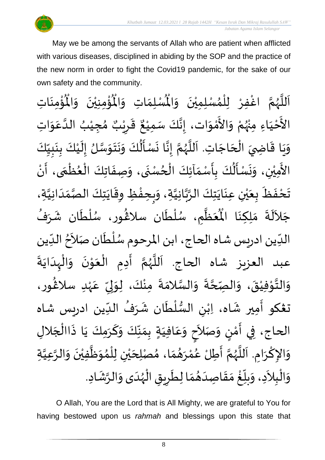May we be among the servants of Allah who are patient when afflicted with various diseases, disciplined in abiding by the SOP and the practice of the new norm in order to fight the Covid19 pandemic, for the sake of our own safety and the community.

 $\frac{1}{\sqrt{2}}$ ِ<br>لْمُسْلِمَ ِ<br>اَللَّهُمَّ اغْفِرْ لِلْمُسْلِمِيْنَ وَالْمُسْلِمَاتِ وَالْمُؤْمِنِيْنَ وَالْمُؤْمِنَاتِ  $\frac{1}{2}$  $\ddot{\phantom{0}}$ ់<br>**រ** ,<br>^ ់<br>( ِّ<br>و ن<br>م ر<br>ر<br>ر ا<br>آ  $\mathbf{r}$  $\ddot{\phantom{0}}$ ْ<br>با ر<br>مو ُؤْمِنِيْنَ ۖ وَالْمُ  $\frac{1}{2}$  $\ddot{\phantom{0}}$ ْ ْ<br>بِ  $\ddot{\text{r}}$ اتِ وَالْمُ  $\frac{1}{2}$ الأَحْيَاءِ مِنْهُمْ وَالأَمْوَات، إِنَّكَ سَمِيْعٌ قَرِيْبٌ مُجِيْبُ الدَّعَوَاتِ َ ֦֧֦֧֦֧<u>֦</u> --<br>ع ْ و<br>زړ ْ  $\frac{1}{2}$ י<br>م -<br>ع  $\ddot{\ }$ ِ<br>م ات<br>ا ُ ٝ<br>ْ  $\frac{1}{\lambda}$ ه<br>د ا ي ر ق  $\overline{\phantom{a}}$  $\frac{1}{2}$ ٌ ، إِنَّكَ سَمِيْعٌ ْ ا<br>با<br>:  $\frac{1}{2}$ وَيَا قَاضِيَ الْحَاجَاتِ. اَللَّهُمَّ إِنَّا نَسْأَلُكَ وَنَتَوَسَّلُ إِلَيْكَ بِنَبِيِّكَ  $\frac{1}{1}$  $\frac{1}{2}$ <u>ل</u><br>:  $\ddot{\phantom{0}}$  $\frac{1}{2}$ ْ َ<br>ا  $\frac{1}{2}$ ان<br>مر  $\frac{1}{2}$  $\ddot{\phantom{0}}$  $\ddot{\phantom{0}}$ َ<br>م ے<br>م  $\frac{1}{2}$  $\ddot{\phantom{0}}$ لة<br>\*  $\frac{1}{2}$ ن<br>م ر<br>ر<br>ر ا<br>ا َ  $\overline{\phantom{a}}$ ׁ<br>ו  $\frac{1}{2}$ ์ $\frac{1}{2}$  $\ddot{\phantom{0}}$  $\frac{1}{2}$ ے<br>ا .<br>الأَمِيْنِ، وَنَسْأَلُكَ بِأَسْمَالِكَ الْحُسْنَى، وَصِفَاتِكَ الْعُظْمَى، أَنْ  $\frac{1}{2}$  $\frac{1}{2}$  $\ddot{\cdot}$ ہو<br>ا  $\frac{1}{2}$ —<br>;<br>;  $\tilde{\cdot}$ ់<br>( .<br>چ ْ د<br>بن ์ ֦֧֦֧֦֧֦֧֦֧֦֧֦֧֦֧֦֧֦֧֦֧֦֧֝֝֝<br>**֧** }<br>• بر<br>ا  $\ddot{\cdot}$  $\tilde{\cdot}$  $\ddot{\phantom{0}}$  $\frac{1}{2}$ تَحْفَظَ بِعَيْنِ عِنَايَتِكَ الرَّبَّانِيَّةِ، وَبِحِفْظِ وِقَايَتِكَ الصَّمَدَانِيَّةِ، اتا<br>ا  $\frac{1}{1}$  $\frac{1}{2}$ ات<br>د د  $\ddot{\phantom{0}}$  $\ddot{\mathbf{r}}$ ֧֦֧֦֧֘֒<u>֦</u>  $\frac{1}{2}$  $\tilde{\cdot}$ اتا<br>ا ن<br>م<br>۱ ا<br>په  $\ddot{\phantom{0}}$  $\ddot{\phantom{0}}$ ់<br>( ي َ  $\overline{\mathbf{r}}$ ं<br>•  $\ddot{\phantom{0}}$  $\ddot{\cdot}$ جَلاَلَةَ مَلِكِنَا الْمُعَظَّمِ، سُلْطَان سلاڠُور، سُلْطَان شَرَفُ ِ<br>ا  $\tilde{\phantom{0}}$ ُ<br>م  $\frac{1}{2}$  $\ddot{\phantom{0}}$ ់<br>**រ** ر<br>ر )<br>ፌ  $\ddot{\phantom{0}}$ ۔<br>أ ُ<br>م ا<br>ا  $\frac{1}{2}$ .<br>مو مَلِكِنَا الْمُ ं<br>◆<br>◆  $\frac{1}{2}$  $\frac{1}{1}$ الدِّين ادريس شاه الحاج، ابن المرحوم سُلْطَان صَلاَحُ الدِّين <sup>ื้</sup> ।<br>र  $\ddot{\phantom{0}}$ ۔<br>ا ر<br>ر<br>ر  $\frac{1}{\sqrt{2}}$ ا<br>بہ عبد العزيز شاه الحاج. اَللَّهُمَّ أَدِمِ الْعَوْنَ وَالْهِدَايَةَ  $\ddot{\phantom{0}}$  $\frac{1}{1}$ ْ ์  $\ddot{\phantom{0}}$ י<br>י َ ֦֧<u>֚</u>  $\ddot{\phantom{0}}$ ِ<br>پنج ن<br>م ر<br>ر<br>ر ا<br>ا .<br>آ وَالتَّوْفِيْقَ، وَالصِّحَّةَ وَالسَّلامَةَ مِنْكَ، لِوَلِيِّ عَهْدِ سلاَغُور، )<br>ፌ ٝ<br>ۣ<br>ؙ .<br>م  $\frac{1}{2}$  $\frac{1}{2}$ إ  $\frac{1}{2}$ ْ  $\ddot{\cdot}$  $\frac{1}{2}$ ا<br>اس  $\tilde{\cdot}$  $\ddot{\phantom{0}}$ ة<br>م  $\frac{1}{2}$  $\ddot{\phantom{0}}$ ْ ֘<br><sup>֟</sup> بة<br>\*\*  $\frac{1}{2}$ تغكو أمِير شَاه، اِبْنِ السُّلْطَان شَرَفُ الدِّين ادريس شاه بر<br>ما ُ  $\ddot{\phantom{0}}$  $\ddot{\phantom{0}}$ ់<br>( ر<br>م ْ  $\ddot{\phantom{0}}$ ِ<br>پنج الحاج، فِي أَمْنٍ وَصَلاَحٍ وَعَافِيَةٍ بِمَنَّكَ وَكَرَمِكَ يَا ذَاالْجَلالِ  $\frac{1}{2}$  $\frac{1}{2}$  $\frac{1}{2}$  $\frac{1}{2}$ َ .<br>م  $\frac{1}{2}$ **∣** َ  $\frac{1}{2}$ <u>ليا</u> ់<br>ត  $\frac{1}{2}$  $\overline{\phantom{a}}$ ֧֦֧֦֚֓֝֝֟ سمبر<br>بہ  $\ddot{\phantom{0}}$ َ  $\frac{1}{2}$ وَالإِكْرَامِ. اَللَّهُمَّ أَطِلْ عُمْرَهُمَا، مُصْلِحَيْنِ لِلْمُوَظَّفِيْنَ وَالرَّعِيَّةِ ات<br>ا ان<br>ا  $\tilde{\cdot}$  $\ddot{\phantom{0}}$ ْ ا<br>ا  $\frac{1}{2}$ ๋<br>ለ ֦֧֦֧֦֧֦֧֦֧֦֧֦֧֦֧֦֧֦֧֜֜֓֓֟֓<br>֧֜֜֜֜֜֜֜֜֜֜֜֜ ْ ي  $\overline{\phantom{a}}$  $\frac{1}{2}$  $\frac{1}{2}$  $\frac{1}{2}$ ់<br>ត بر<br>م  $\frac{1}{2}$ ا<br>مح ر<br>ر<br>ر ا<br>آ ا<br>أ  $\ddot{\phantom{0}}$ ٔ<br>م  $\frac{1}{2}$ وَالْبِلاَدِ، وَبِلّغْ مَقَاصِدَهُمَا لِطَرِيقِ الْهُدَى وَالرَّشَادِ. ्<br>क  $\tilde{\cdot}$  $\frac{1}{1}$ ر<br>ر<br>ر ֦֧֦֧֦֧֦֧֦֧֦֧֦֧֦֝֟֓֓֓֓֟֓֟֓֟֓֟֓֟֓֟֓֟֓֟֓֟֓֟֓֟֓֟֓<br>**֓**ׅׅ֧֓֡֡֡֡֡֓֡֟֬ joy  $\overline{\phantom{a}}$  $\ddot{\phantom{0}}$  $\frac{1}{2}$  $\frac{1}{2}$  $\frac{1}{1}$  $\frac{1}{2}$  $\frac{1}{2}$ <u>់</u>  $\frac{1}{\sqrt{2}}$  $\overline{r}$  $\frac{1}{2}$  $\tilde{\phantom{a}}$ ֦֧֦֧֦֧֦֧֦֧֦֜֜֜֜֜֜֜<br>֧ׅׅ֝֜֜֜֜֜֜֜֜֜֜֜֝֜֜֝֜<del>֟</del>  $\frac{1}{2}$ 

O Allah, You are the Lord that is All Mighty, we are grateful to You for having bestowed upon us *rahmah* and blessings upon this state that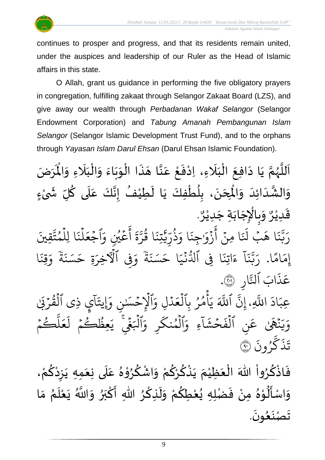

continues to prosper and progress, and that its residents remain united, under the auspices and leadership of our Ruler as the Head of Islamic affairs in this state.

O Allah, grant us guidance in performing the five obligatory prayers in congregation, fulfilling zakaat through Selangor Zakaat Board (LZS), and give away our wealth through *Perbadanan Wakaf Selangor* (Selangor Endowment Corporation) and *Tabung Amanah Pembangunan Islam Selangor* (Selangor Islamic Development Trust Fund), and to the orphans through *Yayasan Islam Darul Ehsan* (Darul Ehsan Islamic Foundation).

ن<br>م اَللَّهُمَّ يَا دَافِعَ الْبَلَاءِ، اِدْفَعْ عَنَّا هَذَا الْوَبَاءَ وَالْبَلَاءِ وَالْمَرَضَ ر<br>ر ا<br>آ ً<br>آ يَا دَافِعَ الْبَلَاءِ، اِدْفَعْ عَنَّا هَذَا الْوَبَاءَ وَالْبَلَاءِ وَالْمُ  $\frac{1}{2}$ ً<br>ا  $\frac{1}{1}$ ֦֧֦֧֦֦֧֦֧֦֧֦֧֦֧֧֦֧֝֟֓֓֓֜֜֓֓<br>**֡**  $\frac{1}{2}$  $\ddot{\phantom{0}}$  $\ddot{\phantom{0}}$  $\ddot{\ }$ ْ  $\ddot{\cdot}$  $\tilde{\phantom{a}}$ اتا<br>ج .<br>م ֦֧֦֦֧֝<u>֦</u>  $\ddot{\cdot}$ ْ ِ<br>ا َ ֦֧֦֧֦֧֦֧֦֧֦֜֜֜֜֜֜֜<br>֧ׅ֝֜֜֜֜֜֜֜֜֜֜֜֜֝֜֜<del>֛</del>  $\ddot{\phantom{0}}$  $\sim$  $\ddot{\phantom{0}}$  $\frac{1}{2}$ )<br>، .<br>وَالشَّدَائِدَ وَالْمِحَنَ، بِلُطْفِكَ يَا لَطِيْفُ إِنَّكَ عَلَى كُلِّ شَىْءٍ  $\frac{1}{2}$  $\overline{\phantom{a}}$  $\frac{1}{1}$ اند<br>ج  $\frac{1}{2}$ ْ  $\frac{1}{2}$ ُ ا<br>آ .<br>م ابا<br>تاریخچه  $\frac{1}{2}$ ُ  $\tilde{\mathbf{r}}$ َ ْ ُ <u>د</u><br>:  $\ddot{\phantom{0}}$  $\overline{\phantom{a}}$ . و<br>م وَبِالْإِجَابَةِ جَدِيْرٌ ّٰ<br>ٰ  $\ddot{\phantom{0}}$  $\ddot{\phantom{0}}$  $\ddot{\phantom{0}}$ ֦֧֦֧֦֧֦֧֦֧֦֧֜֜֜֜֜֓֓֓<br>֧֝֜֜֜֜֜֜֜֜֜֟֓֟ ر<br>خ  $\frac{1}{2}$ و<br>م قَدِيْرٌ ْ  $\frac{1}{2}$ يَّقِيِنَ ت م ا لِل و ہ<br>1  $\ddot{\cdot}$ ن ل ہ<br>1  $\frac{1}{2}$ اجُعَ  $\frac{1}{2}$ َ<br>ہ عَيْنِ وَ و<br>م ر<br>م ِ<br>ج أ  $\ddot{\tilde{}}$  $\frac{1}{2}$ ن<br>مت ر ا ق ور  $\ddot{\cdot}$ تِن ي ِ ذَٰ س<br>س ر ذ و<br>په  $\frac{1}{\alpha}$ ا و  $\ddot{\cdot}$ ِجن  $\frac{1}{2}$ زَوْر **فی** ۔<br>ج أ ہ<br>• ا ِمن  $\ddot{\cdot}$ ِ<br>ا رَ<br>هَبُ لَذَ ا ه  $\ddot{\cdot}$ بز ز<br>د بت<br>ب ِ<br>ا ر ا  $\frac{2}{3}$ ام  $\frac{1}{2}$ إِمَامًا. رَبَّنَا ءَاتِنَا فِى ٱلدُّنْيَا حَسَنَةً وَفِى و ابة ة  $\ddot{\cdot}$ .<br>حَسَنَ ا ح  $\frac{1}{1}$ جر<br>نبي  $\ddot{\cdot}$ و<br>سا ا ِِف ٱدل  $\ddot{\cdot}$ اتِن  $\tilde{\zeta}$ ء  $\tilde{1}$ ا  $\ddot{\cdot}$ بز ز<br>د بت<br>ب ِ<br>م رَبَّنَا ءَاتِنَا فِي الدَّنِّيَا حَسَنَةً وَفِي الْأَخِرَةِ حَسَنَةً وَقِنَا  $\ddot{\cdot}$ قِدَ ر<br>م و البة ة  $\ddot{\cdot}$ ِ<br>حَسَنَ ةِ ح ِرِ الأخرَ ِ ار ر<br>ذ .<br>ناب ٱلتَّ ذ ِ<br>م عَذَابَ ٱلنَّارِ ۞. **€** بة<br>أ اللَّهِ  $\tilde{\cdot}$ اد  $\frac{1}{2}$ عِبَادَ اللَّهِ، َٰ  $\tilde{\mathcal{L}}$ ي ذِي القُرْبَيْ  $\ddot{\phantom{0}}$ ور ہ<br>1  $\tilde{a}$ ا  $\ddot{\phantom{0}}$ ۔<br>اَلۡإِحۡسَـٰنِ وَإِيتَـٰ  $\frac{1}{2}$ ہ<br>1 َ<br>م ِل و د ہ<br>ا  $\frac{1}{2}$ ع ِٱل ب ر م أ ہ<br>ا ُ و<br>م ہ<br>م  $\tilde{\cdot}$ ي ذَ اَللَّهَ ذ ِن إ  $\frac{1}{2}$ كُمُ ر بة<br>ا  $\mu$  $\frac{1}{2}$ ع ر<br>1 حِظُڪُمُ ل  $\frac{1}{2}$ و و<br>د ِرِ ٱلۡبَغۡۤےِ ۤ<br>اِلۡبَغۡےِ ٓ یَا ہ<br>1 َ<br>م ِ و ر ۔<br>ح نك م ٱل و ہ<br>1 ،<br>م ءِ و  $\tilde{1}$ ا  $\tilde{\cdot}$ ش ح  $\frac{1}{2}$  $\ddot{\cdot}$ نِ اَلْفَ ہ<br>آ نَّهَىٰ عَ  $\ddot{\cdot}$  $\tilde{\cdot}$ ر<br>به  $\frac{1}{c}$ و  $\ddot{\cdot}$ ون ر ُو ر<br>حم ك  $\ddot{\cdot}$ ذ  $\ddot{\phantom{0}}$ تَذَكَّرُونَ ۞

ْ فَاذْكُرُواْ اللّهَ الْعَظِيْمَ يَذْكُرْكُمْ وَاشْكُرُوْهُ عَلَى نِعَمِهِ يَزِدْكُمْ، و<br>و <u>و</u> ֦֧֦֧֦֧֦֧֦֧֦֧֦֧֦֧֦֧֦֧֦֧֦֧<br>**֧**֧֓֝  $\ddot{\cdot}$ ْ ا<br>م ْ  $\ddot{\phantom{0}}$  $\frac{1}{2}$  $\overline{\mathbf{1}}$ .<br>م  $\frac{1}{2}$ י<br>י **ہ**<br>د <u>ل</u> ْ  $\tilde{\cdot}$ ْ <u>ہ</u> <u>ہ</u> ْ  $\ddot{\phantom{0}}$ ्<br>र ំ<br>រ  $\frac{1}{2}$ ֦֧֦֧֦֧֦֧֦֧֦֧֦֜֜֜֜֜֜<br>**֧** وَاسْأَلُوْهُ مِنْ فَضْلِهِ يُعْطِكُمْ وَلَذِكْرُ اللّهِ أَكْبَرُ وَاللّهُ يَعْلَمُ مَا ์ $\frac{1}{2}$ ُ<br>∕∙ بر<br>آ ْ  $\ddot{\cdot}$ ์<br>; و<br>♦  $\frac{1}{2}$ بر ْ  $\frac{1}{2}$ **ہ**<br>د ؚ<br>م  $\tilde{\mathbf{r}}$ ้ ْ <u>ہ</u> ْ ′<br>ይ<br>\  $\ddot{\cdot}$ ْ  $^{\circ}$ י<br>י ⁄<br>∮  $\frac{1}{2}$  $\frac{1}{2}$ .  $\ddot{\phantom{0}}$ تَصْنَعُونَ  $\frac{1}{2}$  $\ddot{\phantom{0}}$  $\frac{1}{2}$